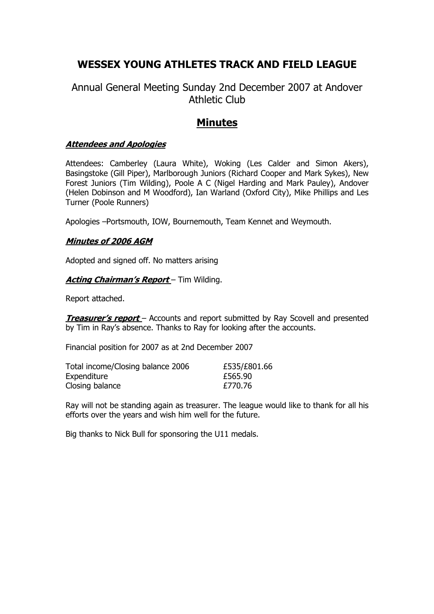# **WESSEX YOUNG ATHLETES TRACK AND FIELD LEAGUE**

## Annual General Meeting Sunday 2nd December 2007 at Andover Athletic Club

## **Minutes**

## **Attendees and Apologies**

Attendees: Camberley (Laura White), Woking (Les Calder and Simon Akers), Basingstoke (Gill Piper), Marlborough Juniors (Richard Cooper and Mark Sykes), New Forest Juniors (Tim Wilding), Poole A C (Nigel Harding and Mark Pauley), Andover (Helen Dobinson and M Woodford), Ian Warland (Oxford City), Mike Phillips and Les Turner (Poole Runners)

Apologies –Portsmouth, IOW, Bournemouth, Team Kennet and Weymouth.

## **Minutes of 2006 AGM**

Adopted and signed off. No matters arising

## **Acting Chairman's Report** – Tim Wilding.

Report attached.

**Treasurer's report** – Accounts and report submitted by Ray Scovell and presented by Tim in Ray's absence. Thanks to Ray for looking after the accounts.

Financial position for 2007 as at 2nd December 2007

| Total income/Closing balance 2006 | £535/£801.66 |
|-----------------------------------|--------------|
| Expenditure                       | £565.90      |
| Closing balance                   | £770.76      |

Ray will not be standing again as treasurer. The league would like to thank for all his efforts over the years and wish him well for the future.

Big thanks to Nick Bull for sponsoring the U11 medals.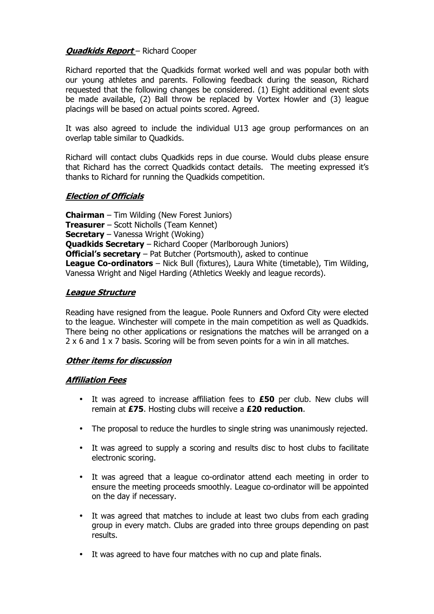## **Quadkids Report** – Richard Cooper

Richard reported that the Quadkids format worked well and was popular both with our young athletes and parents. Following feedback during the season, Richard requested that the following changes be considered. (1) Eight additional event slots be made available, (2) Ball throw be replaced by Vortex Howler and (3) league placings will be based on actual points scored. Agreed.

It was also agreed to include the individual U13 age group performances on an overlap table similar to Quadkids.

Richard will contact clubs Quadkids reps in due course. Would clubs please ensure that Richard has the correct Quadkids contact details. The meeting expressed it's thanks to Richard for running the Quadkids competition.

#### **Election of Officials**

**Chairman** – Tim Wilding (New Forest Juniors) **Treasurer** – Scott Nicholls (Team Kennet) **Secretary** – Vanessa Wright (Woking) **Quadkids Secretary** – Richard Cooper (Marlborough Juniors) **Official's secretary** – Pat Butcher (Portsmouth), asked to continue **League Co-ordinators** – Nick Bull (fixtures), Laura White (timetable), Tim Wilding, Vanessa Wright and Nigel Harding (Athletics Weekly and league records).

#### **League Structure**

Reading have resigned from the league. Poole Runners and Oxford City were elected to the league. Winchester will compete in the main competition as well as Quadkids. There being no other applications or resignations the matches will be arranged on a 2 x 6 and 1 x 7 basis. Scoring will be from seven points for a win in all matches.

#### **Other items for discussion**

#### **Affiliation Fees**

- It was agreed to increase affiliation fees to **£50** per club. New clubs will remain at **£75**. Hosting clubs will receive a **£20 reduction**.
- The proposal to reduce the hurdles to single string was unanimously rejected.
- It was agreed to supply a scoring and results disc to host clubs to facilitate electronic scoring.
- It was agreed that a league co-ordinator attend each meeting in order to ensure the meeting proceeds smoothly. League co-ordinator will be appointed on the day if necessary.
- It was agreed that matches to include at least two clubs from each grading group in every match. Clubs are graded into three groups depending on past results.
- It was agreed to have four matches with no cup and plate finals.